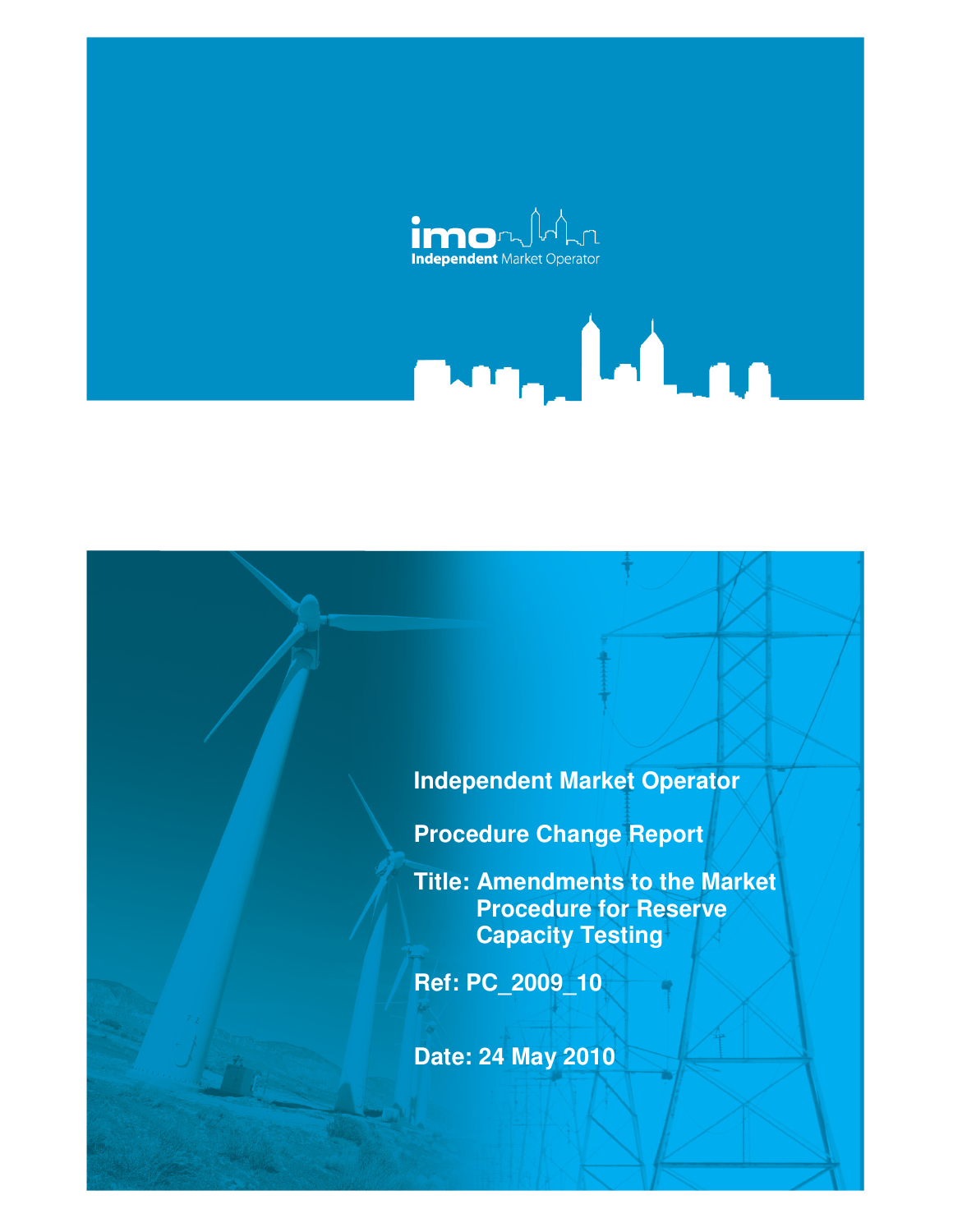

# **Independent Market Operator**

ma, hina

**Procedure Change Report** 

**Title: Amendments to the Market Procedure for Reserve Capacity Testing** 

**Ref: PC\_2009\_10** 

**Date: 24 May 2010**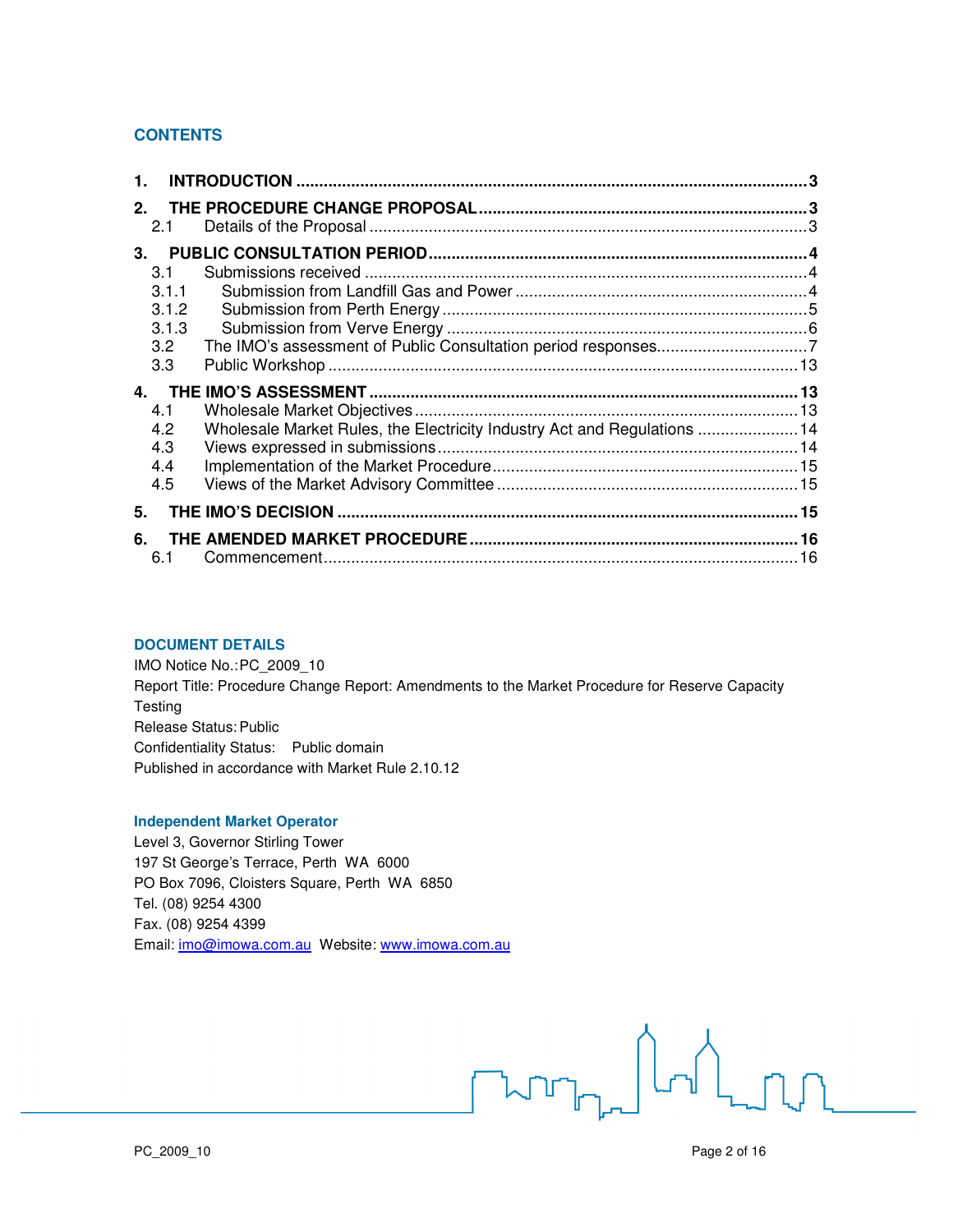# **CONTENTS**

| $\mathbf{1}$ .                                       |                                                                          |  |
|------------------------------------------------------|--------------------------------------------------------------------------|--|
| $2-$<br>2.1                                          |                                                                          |  |
| $3-$<br>3.1<br>3.1.1<br>3.1.2<br>3.1.3<br>3.2<br>3.3 |                                                                          |  |
| 4.1<br>4.2<br>4.3<br>4.4<br>4.5                      | Wholesale Market Rules, the Electricity Industry Act and Regulations  14 |  |
| 5.                                                   |                                                                          |  |
| 6.<br>6.1                                            |                                                                          |  |

#### **DOCUMENT DETAILS**

IMO Notice No.: PC\_2009\_10 Report Title: Procedure Change Report: Amendments to the Market Procedure for Reserve Capacity **Testing** Release Status: Public Confidentiality Status: Public domain Published in accordance with Market Rule 2.10.12

#### **Independent Market Operator**

Level 3, Governor Stirling Tower 197 St George's Terrace, Perth WA 6000 PO Box 7096, Cloisters Square, Perth WA 6850 Tel. (08) 9254 4300 Fax. (08) 9254 4399 Email: imo@imowa.com.au Website: www.imowa.com.au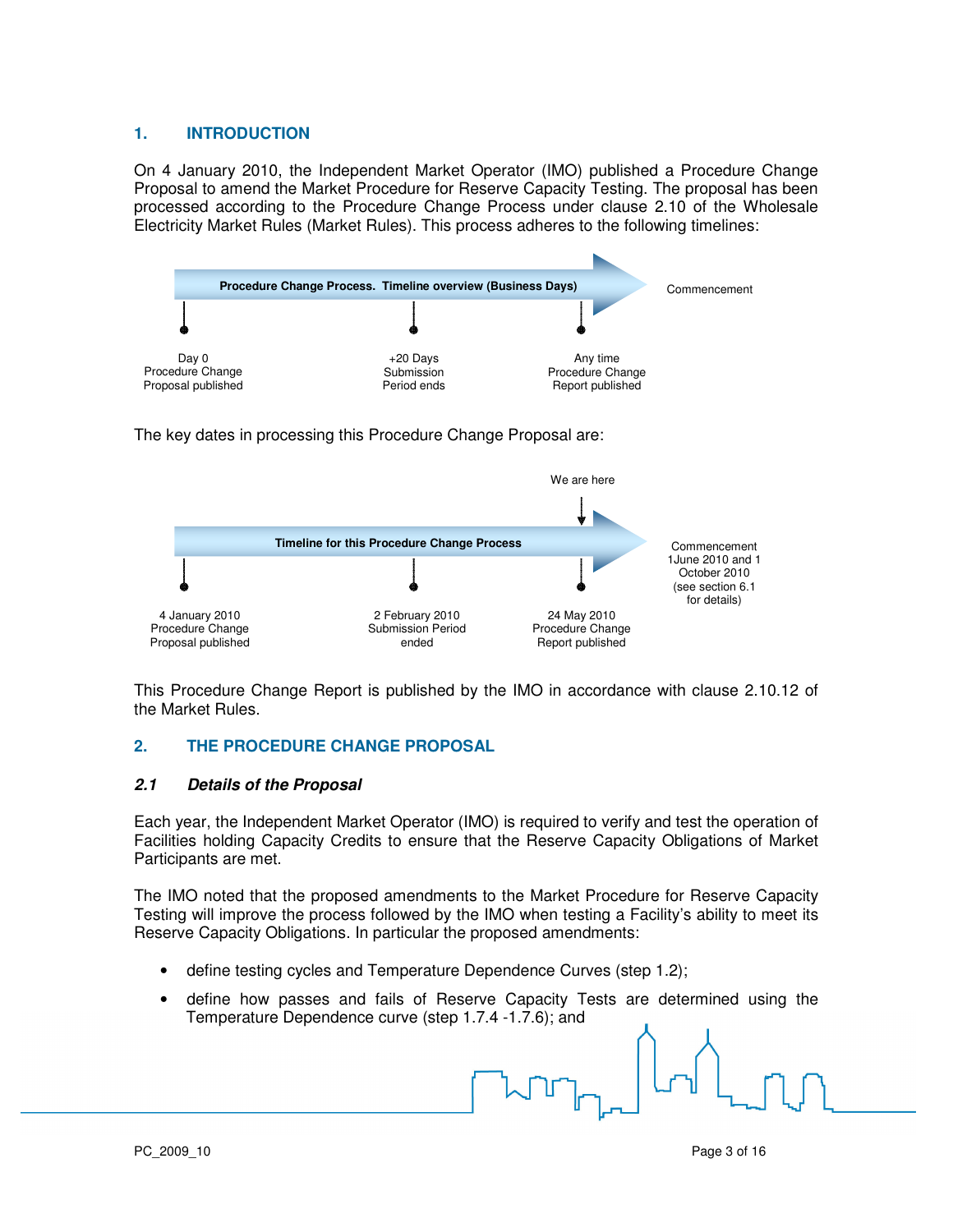# **1. INTRODUCTION**

On 4 January 2010, the Independent Market Operator (IMO) published a Procedure Change Proposal to amend the Market Procedure for Reserve Capacity Testing. The proposal has been processed according to the Procedure Change Process under clause 2.10 of the Wholesale Electricity Market Rules (Market Rules). This process adheres to the following timelines:



The key dates in processing this Procedure Change Proposal are:



This Procedure Change Report is published by the IMO in accordance with clause 2.10.12 of the Market Rules.

# **2. THE PROCEDURE CHANGE PROPOSAL**

## **2.1 Details of the Proposal**

Each year, the Independent Market Operator (IMO) is required to verify and test the operation of Facilities holding Capacity Credits to ensure that the Reserve Capacity Obligations of Market Participants are met.

The IMO noted that the proposed amendments to the Market Procedure for Reserve Capacity Testing will improve the process followed by the IMO when testing a Facility's ability to meet its Reserve Capacity Obligations. In particular the proposed amendments:

- define testing cycles and Temperature Dependence Curves (step 1.2);
- define how passes and fails of Reserve Capacity Tests are determined using the Temperature Dependence curve (step 1.7.4 -1.7.6); and

PC 2009 10 Page 3 of 16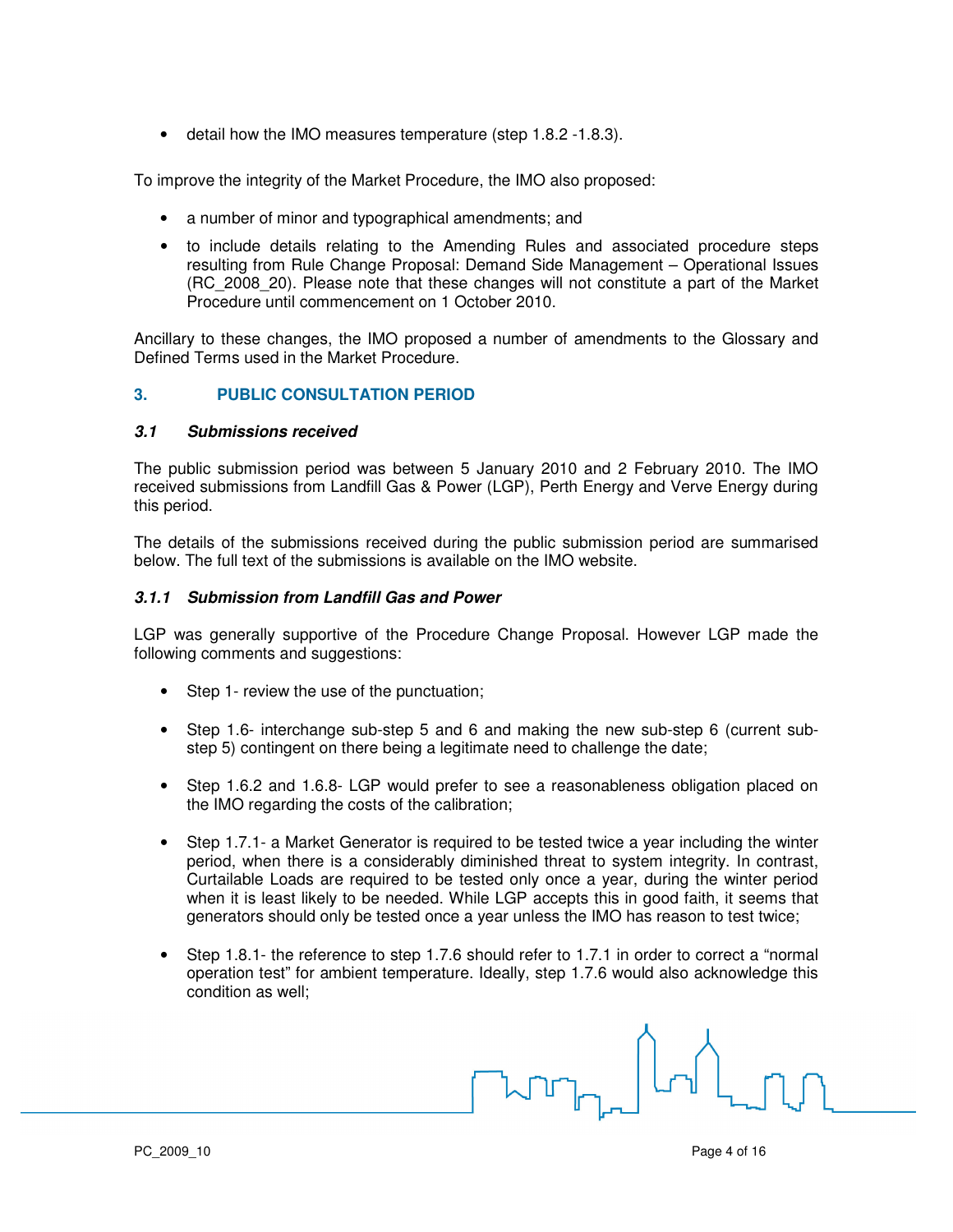• detail how the IMO measures temperature (step 1.8.2 -1.8.3).

To improve the integrity of the Market Procedure, the IMO also proposed:

- a number of minor and typographical amendments; and
- to include details relating to the Amending Rules and associated procedure steps resulting from Rule Change Proposal: Demand Side Management – Operational Issues (RC\_2008\_20). Please note that these changes will not constitute a part of the Market Procedure until commencement on 1 October 2010.

Ancillary to these changes, the IMO proposed a number of amendments to the Glossary and Defined Terms used in the Market Procedure.

# **3. PUBLIC CONSULTATION PERIOD**

## **3.1 Submissions received**

The public submission period was between 5 January 2010 and 2 February 2010. The IMO received submissions from Landfill Gas & Power (LGP), Perth Energy and Verve Energy during this period.

The details of the submissions received during the public submission period are summarised below. The full text of the submissions is available on the IMO website.

## **3.1.1 Submission from Landfill Gas and Power**

LGP was generally supportive of the Procedure Change Proposal. However LGP made the following comments and suggestions:

- Step 1- review the use of the punctuation;
- Step 1.6- interchange sub-step 5 and 6 and making the new sub-step 6 (current substep 5) contingent on there being a legitimate need to challenge the date;
- Step 1.6.2 and 1.6.8- LGP would prefer to see a reasonableness obligation placed on the IMO regarding the costs of the calibration;
- Step 1.7.1- a Market Generator is required to be tested twice a year including the winter period, when there is a considerably diminished threat to system integrity. In contrast, Curtailable Loads are required to be tested only once a year, during the winter period when it is least likely to be needed. While LGP accepts this in good faith, it seems that generators should only be tested once a year unless the IMO has reason to test twice;
- Step 1.8.1- the reference to step 1.7.6 should refer to 1.7.1 in order to correct a "normal" operation test" for ambient temperature. Ideally, step 1.7.6 would also acknowledge this condition as well;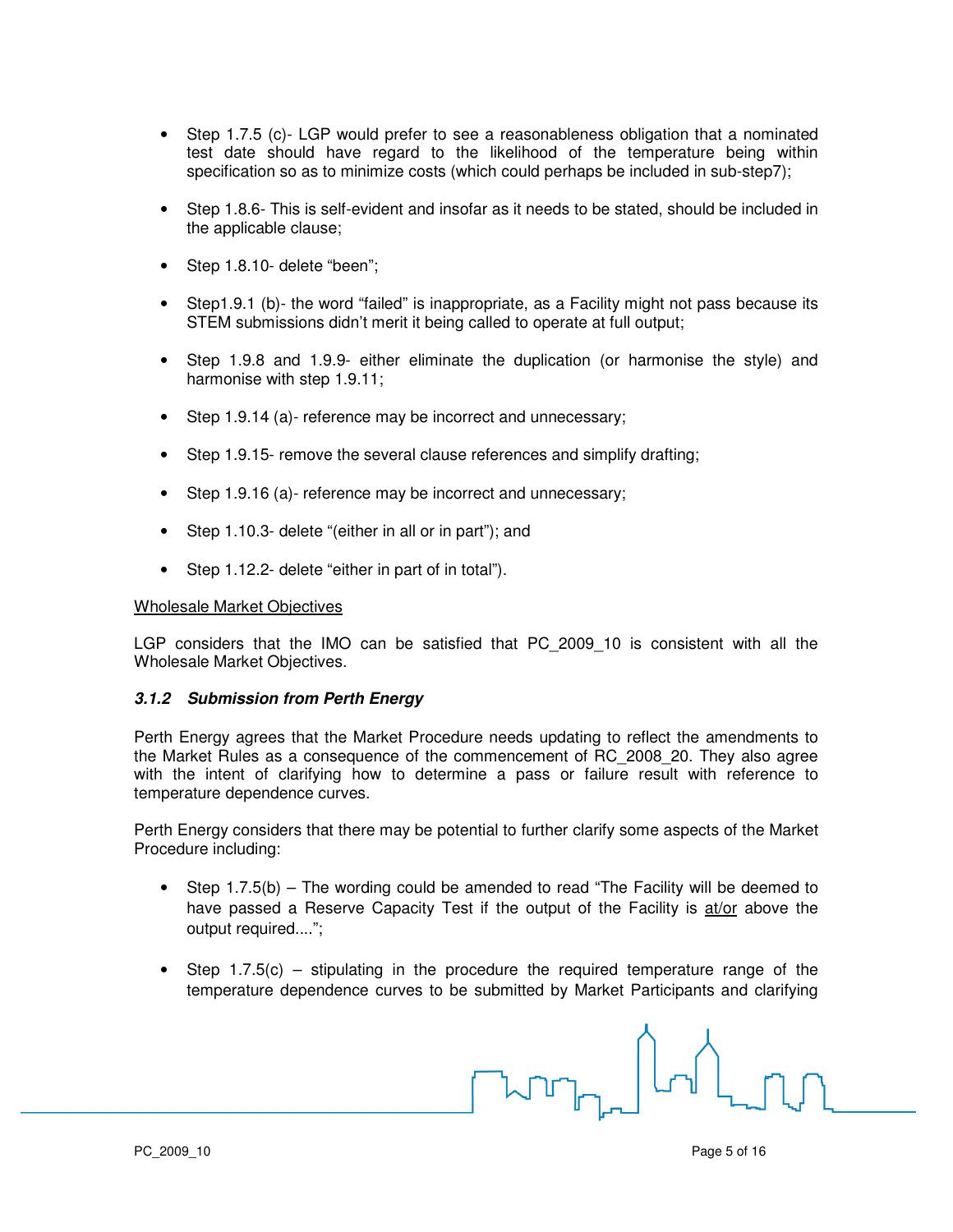- Step 1.7.5 (c)- LGP would prefer to see a reasonableness obligation that a nominated test date should have regard to the likelihood of the temperature being within specification so as to minimize costs (which could perhaps be included in sub-step7);
- Step 1.8.6- This is self-evident and insofar as it needs to be stated, should be included in the applicable clause;
- Step 1.8.10- delete "been";
- Step1.9.1 (b)- the word "failed" is inappropriate, as a Facility might not pass because its STEM submissions didn't merit it being called to operate at full output;
- Step 1.9.8 and 1.9.9- either eliminate the duplication (or harmonise the style) and harmonise with step 1.9.11;
- Step 1.9.14 (a)- reference may be incorrect and unnecessary;
- Step 1.9.15- remove the several clause references and simplify drafting;
- Step 1.9.16 (a)- reference may be incorrect and unnecessary;
- Step 1.10.3- delete "(either in all or in part"); and
- Step 1.12.2- delete "either in part of in total").

#### Wholesale Market Objectives

LGP considers that the IMO can be satisfied that PC 2009 10 is consistent with all the Wholesale Market Objectives.

#### **3.1.2 Submission from Perth Energy**

Perth Energy agrees that the Market Procedure needs updating to reflect the amendments to the Market Rules as a consequence of the commencement of RC\_2008\_20. They also agree with the intent of clarifying how to determine a pass or failure result with reference to temperature dependence curves.

Perth Energy considers that there may be potential to further clarify some aspects of the Market Procedure including:

- Step 1.7.5(b) The wording could be amended to read "The Facility will be deemed to have passed a Reserve Capacity Test if the output of the Facility is at/or above the output required....";
- Step 1.7.5(c) stipulating in the procedure the required temperature range of the temperature dependence curves to be submitted by Market Participants and clarifying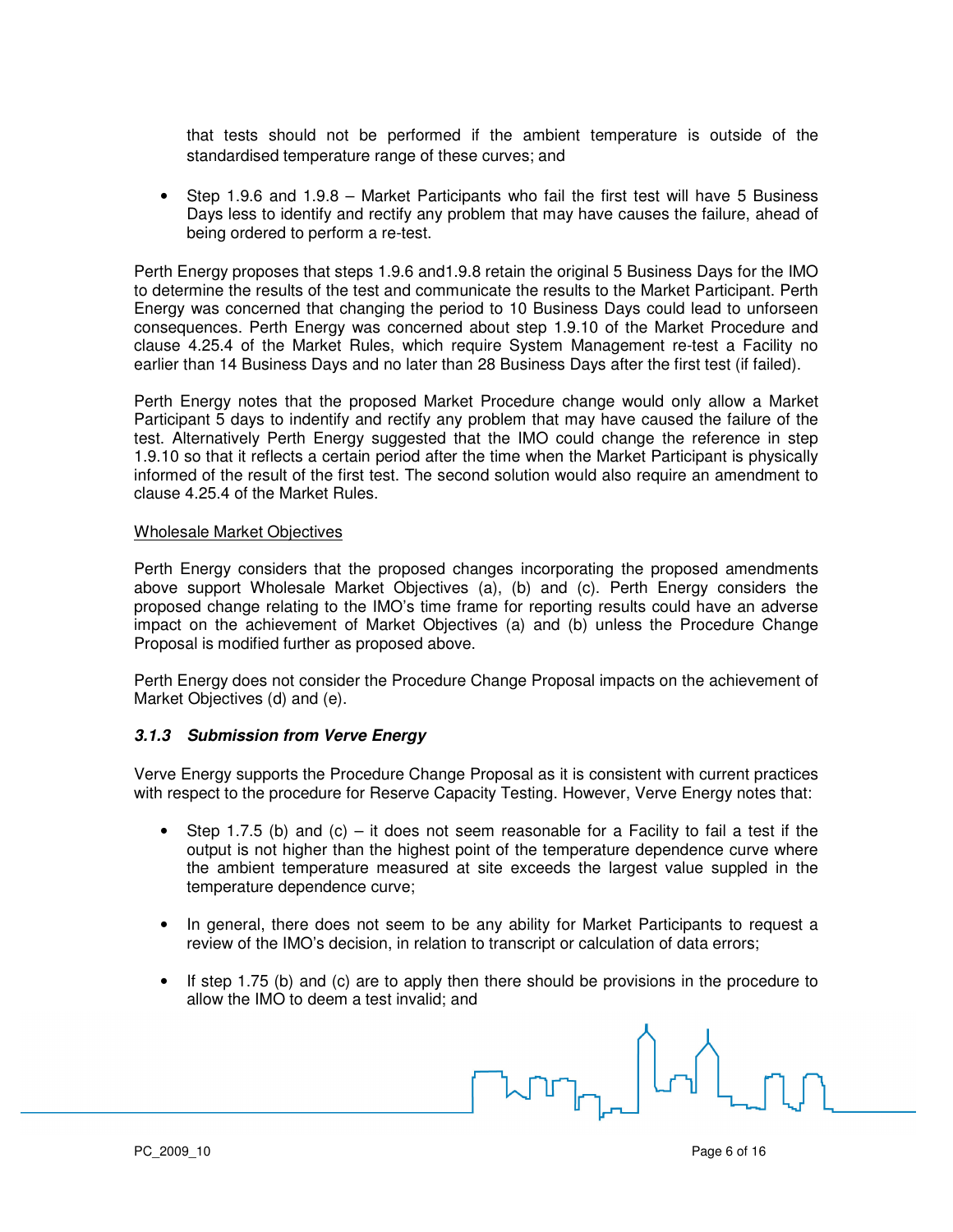that tests should not be performed if the ambient temperature is outside of the standardised temperature range of these curves; and

• Step 1.9.6 and 1.9.8 – Market Participants who fail the first test will have 5 Business Days less to identify and rectify any problem that may have causes the failure, ahead of being ordered to perform a re-test.

Perth Energy proposes that steps 1.9.6 and1.9.8 retain the original 5 Business Days for the IMO to determine the results of the test and communicate the results to the Market Participant. Perth Energy was concerned that changing the period to 10 Business Days could lead to unforseen consequences. Perth Energy was concerned about step 1.9.10 of the Market Procedure and clause 4.25.4 of the Market Rules, which require System Management re-test a Facility no earlier than 14 Business Days and no later than 28 Business Days after the first test (if failed).

Perth Energy notes that the proposed Market Procedure change would only allow a Market Participant 5 days to indentify and rectify any problem that may have caused the failure of the test. Alternatively Perth Energy suggested that the IMO could change the reference in step 1.9.10 so that it reflects a certain period after the time when the Market Participant is physically informed of the result of the first test. The second solution would also require an amendment to clause 4.25.4 of the Market Rules.

#### Wholesale Market Objectives

Perth Energy considers that the proposed changes incorporating the proposed amendments above support Wholesale Market Objectives (a), (b) and (c). Perth Energy considers the proposed change relating to the IMO's time frame for reporting results could have an adverse impact on the achievement of Market Objectives (a) and (b) unless the Procedure Change Proposal is modified further as proposed above.

Perth Energy does not consider the Procedure Change Proposal impacts on the achievement of Market Objectives (d) and (e).

## **3.1.3 Submission from Verve Energy**

Verve Energy supports the Procedure Change Proposal as it is consistent with current practices with respect to the procedure for Reserve Capacity Testing. However, Verve Energy notes that:

- Step 1.7.5 (b) and  $(c)$  it does not seem reasonable for a Facility to fail a test if the output is not higher than the highest point of the temperature dependence curve where the ambient temperature measured at site exceeds the largest value suppled in the temperature dependence curve;
- In general, there does not seem to be any ability for Market Participants to request a review of the IMO's decision, in relation to transcript or calculation of data errors;
- If step 1.75 (b) and (c) are to apply then there should be provisions in the procedure to allow the IMO to deem a test invalid; and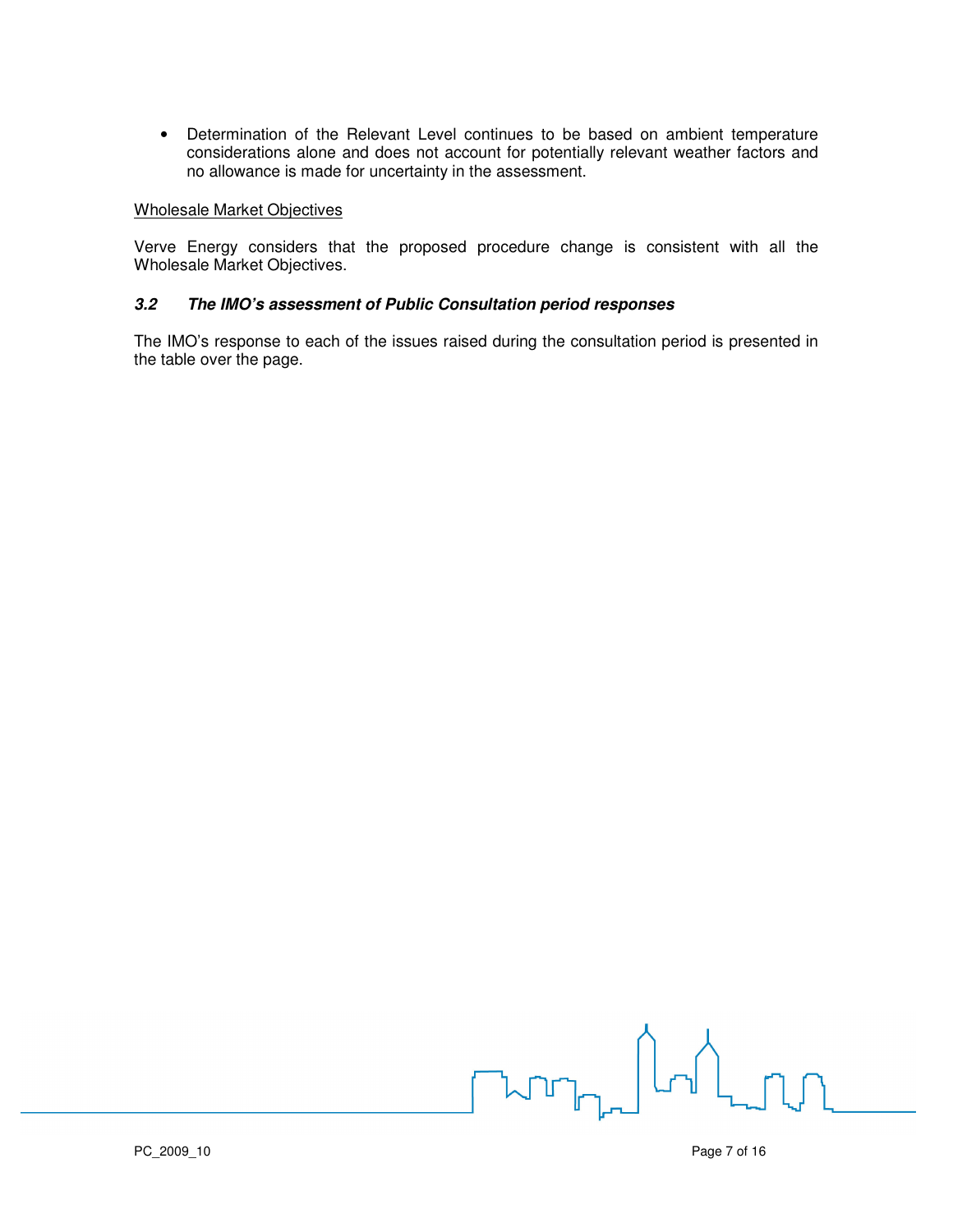• Determination of the Relevant Level continues to be based on ambient temperature considerations alone and does not account for potentially relevant weather factors and no allowance is made for uncertainty in the assessment.

#### Wholesale Market Objectives

Verve Energy considers that the proposed procedure change is consistent with all the Wholesale Market Objectives.

# **3.2 The IMO's assessment of Public Consultation period responses**

The IMO's response to each of the issues raised during the consultation period is presented in the table over the page.

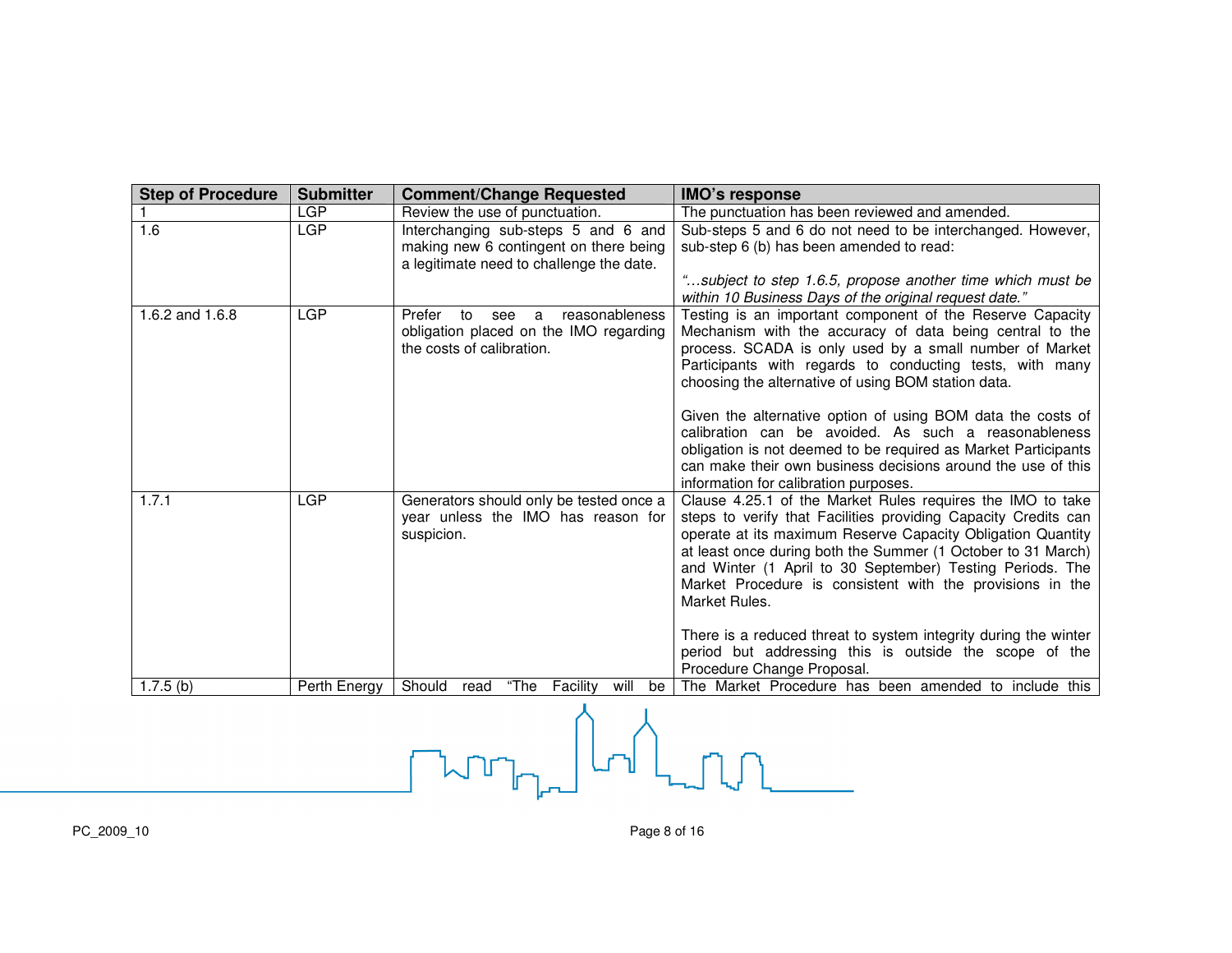| <b>Step of Procedure</b> | <b>Submitter</b> | <b>Comment/Change Requested</b>                                                                                              | <b>IMO's response</b>                                                                                                                                                                                                                                                                                                                                                                                                                                                                        |
|--------------------------|------------------|------------------------------------------------------------------------------------------------------------------------------|----------------------------------------------------------------------------------------------------------------------------------------------------------------------------------------------------------------------------------------------------------------------------------------------------------------------------------------------------------------------------------------------------------------------------------------------------------------------------------------------|
|                          | <b>LGP</b>       | Review the use of punctuation.                                                                                               | The punctuation has been reviewed and amended.                                                                                                                                                                                                                                                                                                                                                                                                                                               |
| 1.6                      | LGP              | Interchanging sub-steps 5 and 6 and<br>making new 6 contingent on there being<br>a legitimate need to challenge the date.    | Sub-steps 5 and 6 do not need to be interchanged. However,<br>sub-step 6 (b) has been amended to read:<br>"subject to step 1.6.5, propose another time which must be                                                                                                                                                                                                                                                                                                                         |
|                          |                  |                                                                                                                              | within 10 Business Days of the original request date."                                                                                                                                                                                                                                                                                                                                                                                                                                       |
| 1.6.2 and 1.6.8          | LGP              | reasonableness<br>Prefer<br>to<br>see<br>$\mathbf{a}$<br>obligation placed on the IMO regarding<br>the costs of calibration. | Testing is an important component of the Reserve Capacity<br>Mechanism with the accuracy of data being central to the<br>process. SCADA is only used by a small number of Market<br>Participants with regards to conducting tests, with many<br>choosing the alternative of using BOM station data.<br>Given the alternative option of using BOM data the costs of<br>calibration can be avoided. As such a reasonableness<br>obligation is not deemed to be required as Market Participants |
|                          |                  |                                                                                                                              | can make their own business decisions around the use of this<br>information for calibration purposes.                                                                                                                                                                                                                                                                                                                                                                                        |
| 1.7.1                    | LGP              | Generators should only be tested once a<br>year unless the IMO has reason for<br>suspicion.                                  | Clause 4.25.1 of the Market Rules requires the IMO to take<br>steps to verify that Facilities providing Capacity Credits can<br>operate at its maximum Reserve Capacity Obligation Quantity<br>at least once during both the Summer (1 October to 31 March)<br>and Winter (1 April to 30 September) Testing Periods. The<br>Market Procedure is consistent with the provisions in the<br>Market Rules.                                                                                       |
|                          |                  |                                                                                                                              | There is a reduced threat to system integrity during the winter<br>period but addressing this is outside the scope of the<br>Procedure Change Proposal.                                                                                                                                                                                                                                                                                                                                      |
| $1.7.5$ (b)              | Perth Energy     | Should<br>"The<br>Facility<br>will<br>be<br>read                                                                             | The Market Procedure has been amended to include this                                                                                                                                                                                                                                                                                                                                                                                                                                        |

 $\begin{picture}(180,40) \put(0,0){\line(1,0){10}} \put(10,0){\line(1,0){10}} \put(10,0){\line(1,0){10}} \put(10,0){\line(1,0){10}} \put(10,0){\line(1,0){10}} \put(10,0){\line(1,0){10}} \put(10,0){\line(1,0){10}} \put(10,0){\line(1,0){10}} \put(10,0){\line(1,0){10}} \put(10,0){\line(1,0){10}} \put(10,0){\line(1,0){10}} \put(10,0){\line($ 

PC\_2009\_10 Page 8 of 16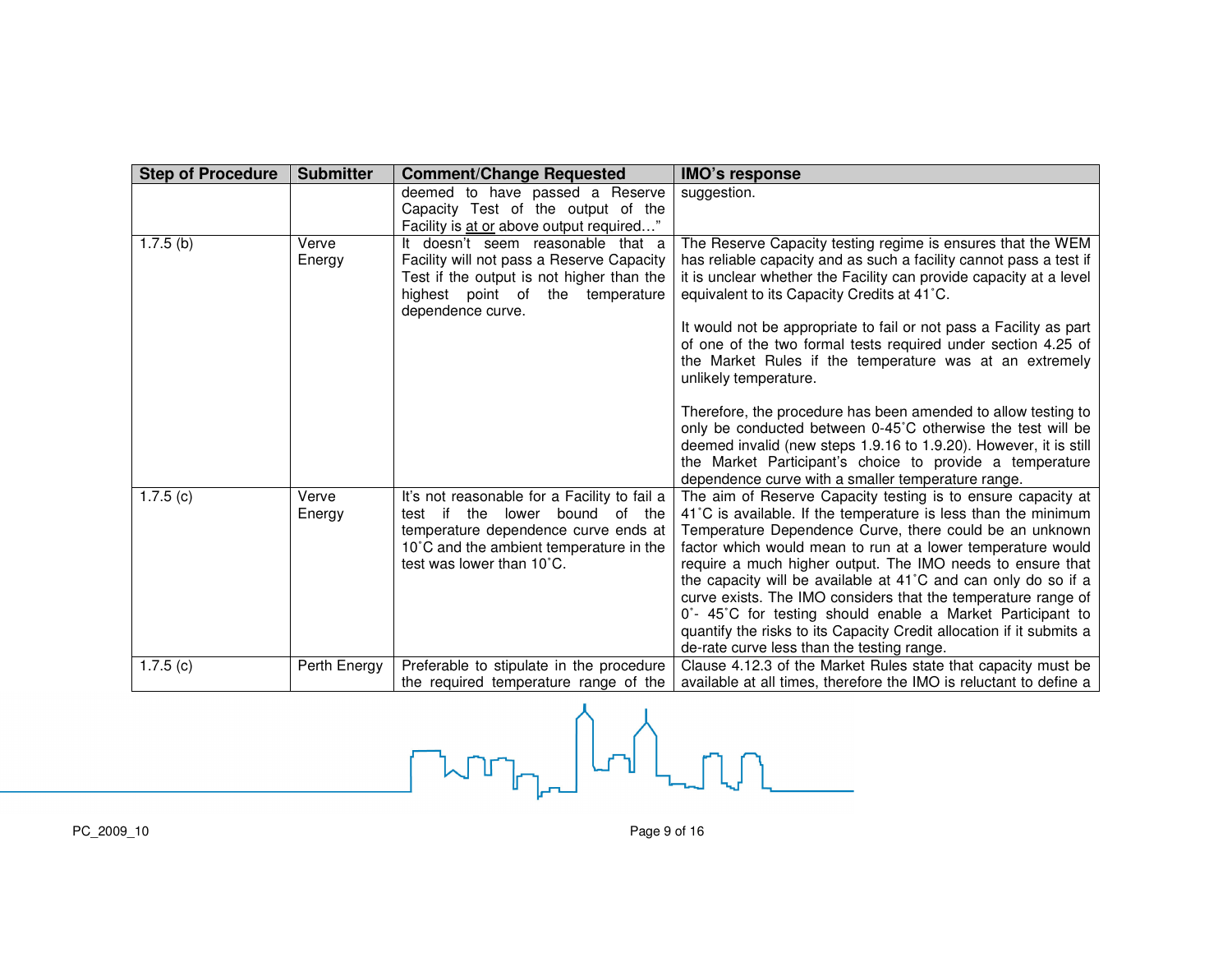| <b>Step of Procedure</b> | <b>Submitter</b> | <b>Comment/Change Requested</b>                                                                                                                                                                      | <b>IMO's response</b>                                                                                                                                                                                                                                                                                                                                                                                                                                                                                                                                                                                                                         |
|--------------------------|------------------|------------------------------------------------------------------------------------------------------------------------------------------------------------------------------------------------------|-----------------------------------------------------------------------------------------------------------------------------------------------------------------------------------------------------------------------------------------------------------------------------------------------------------------------------------------------------------------------------------------------------------------------------------------------------------------------------------------------------------------------------------------------------------------------------------------------------------------------------------------------|
|                          |                  | deemed to have passed a Reserve                                                                                                                                                                      | suggestion.                                                                                                                                                                                                                                                                                                                                                                                                                                                                                                                                                                                                                                   |
|                          |                  | Capacity Test of the output of the                                                                                                                                                                   |                                                                                                                                                                                                                                                                                                                                                                                                                                                                                                                                                                                                                                               |
|                          |                  | Facility is at or above output required"                                                                                                                                                             |                                                                                                                                                                                                                                                                                                                                                                                                                                                                                                                                                                                                                                               |
| $1.7.5$ (b)              | Verve<br>Energy  | doesn't seem reasonable that a<br>Facility will not pass a Reserve Capacity<br>Test if the output is not higher than the<br>highest point of the<br>temperature<br>dependence curve.                 | The Reserve Capacity testing regime is ensures that the WEM<br>has reliable capacity and as such a facility cannot pass a test if<br>it is unclear whether the Facility can provide capacity at a level<br>equivalent to its Capacity Credits at 41°C.<br>It would not be appropriate to fail or not pass a Facility as part<br>of one of the two formal tests required under section 4.25 of<br>the Market Rules if the temperature was at an extremely<br>unlikely temperature.                                                                                                                                                             |
|                          |                  |                                                                                                                                                                                                      | Therefore, the procedure has been amended to allow testing to<br>only be conducted between 0-45°C otherwise the test will be<br>deemed invalid (new steps 1.9.16 to 1.9.20). However, it is still<br>the Market Participant's choice to provide a temperature<br>dependence curve with a smaller temperature range.                                                                                                                                                                                                                                                                                                                           |
| 1.7.5(c)                 | Verve<br>Energy  | It's not reasonable for a Facility to fail a<br>test if<br>the<br>lower bound of the<br>temperature dependence curve ends at<br>10°C and the ambient temperature in the<br>test was lower than 10°C. | The aim of Reserve Capacity testing is to ensure capacity at<br>41°C is available. If the temperature is less than the minimum<br>Temperature Dependence Curve, there could be an unknown<br>factor which would mean to run at a lower temperature would<br>require a much higher output. The IMO needs to ensure that<br>the capacity will be available at 41°C and can only do so if a<br>curve exists. The IMO considers that the temperature range of<br>0°- 45°C for testing should enable a Market Participant to<br>quantify the risks to its Capacity Credit allocation if it submits a<br>de-rate curve less than the testing range. |
| 1.7.5(c)                 | Perth Energy     | Preferable to stipulate in the procedure<br>the required temperature range of the                                                                                                                    | Clause 4.12.3 of the Market Rules state that capacity must be<br>available at all times, therefore the IMO is reluctant to define a                                                                                                                                                                                                                                                                                                                                                                                                                                                                                                           |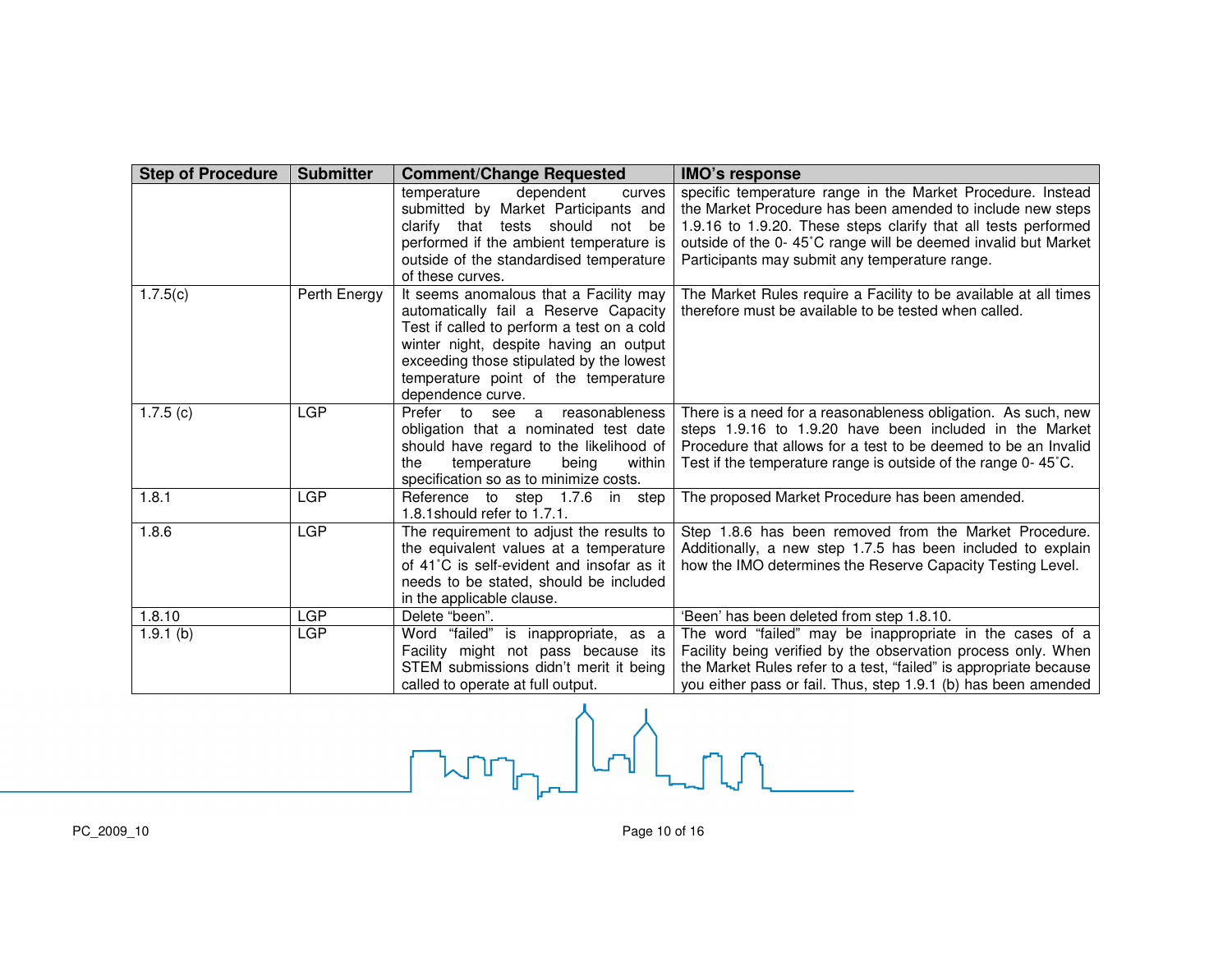| <b>Step of Procedure</b> | <b>Submitter</b> | <b>Comment/Change Requested</b>                                                  | <b>IMO's response</b>                                                                                                     |
|--------------------------|------------------|----------------------------------------------------------------------------------|---------------------------------------------------------------------------------------------------------------------------|
|                          |                  | temperature<br>dependent<br>curves                                               | specific temperature range in the Market Procedure. Instead                                                               |
|                          |                  | submitted by Market Participants and                                             | the Market Procedure has been amended to include new steps                                                                |
|                          |                  | clarify that tests should<br>not<br>be                                           | 1.9.16 to 1.9.20. These steps clarify that all tests performed                                                            |
|                          |                  | performed if the ambient temperature is                                          | outside of the 0-45°C range will be deemed invalid but Market                                                             |
|                          |                  | outside of the standardised temperature                                          | Participants may submit any temperature range.                                                                            |
|                          |                  | of these curves.                                                                 |                                                                                                                           |
| 1.7.5(c)                 | Perth Energy     | It seems anomalous that a Facility may                                           | The Market Rules require a Facility to be available at all times                                                          |
|                          |                  | automatically fail a Reserve Capacity                                            | therefore must be available to be tested when called.                                                                     |
|                          |                  | Test if called to perform a test on a cold                                       |                                                                                                                           |
|                          |                  | winter night, despite having an output                                           |                                                                                                                           |
|                          |                  | exceeding those stipulated by the lowest                                         |                                                                                                                           |
|                          |                  | temperature point of the temperature                                             |                                                                                                                           |
|                          |                  | dependence curve.                                                                |                                                                                                                           |
| 1.7.5(c)                 | <b>LGP</b>       | a reasonableness<br>Prefer to see                                                | There is a need for a reasonableness obligation. As such, new                                                             |
|                          |                  | obligation that a nominated test date                                            | steps 1.9.16 to 1.9.20 have been included in the Market<br>Procedure that allows for a test to be deemed to be an Invalid |
|                          |                  | should have regard to the likelihood of<br>within<br>temperature<br>the<br>being | Test if the temperature range is outside of the range 0-45°C.                                                             |
|                          |                  | specification so as to minimize costs.                                           |                                                                                                                           |
| 1.8.1                    | <b>LGP</b>       | Reference to step 1.7.6 in<br>step                                               | The proposed Market Procedure has been amended.                                                                           |
|                          |                  | 1.8.1 should refer to 1.7.1.                                                     |                                                                                                                           |
| 1.8.6                    | <b>LGP</b>       | The requirement to adjust the results to                                         | Step 1.8.6 has been removed from the Market Procedure.                                                                    |
|                          |                  | the equivalent values at a temperature                                           | Additionally, a new step 1.7.5 has been included to explain                                                               |
|                          |                  | of 41°C is self-evident and insofar as it                                        | how the IMO determines the Reserve Capacity Testing Level.                                                                |
|                          |                  | needs to be stated, should be included                                           |                                                                                                                           |
|                          |                  | in the applicable clause.                                                        |                                                                                                                           |
| 1.8.10                   | LGP              | Delete "been".                                                                   | 'Been' has been deleted from step 1.8.10.                                                                                 |
| $1.9.1$ (b)              | <b>LGP</b>       | Word "failed" is inappropriate, as a                                             | The word "failed" may be inappropriate in the cases of a                                                                  |
|                          |                  | Facility might not pass because its                                              | Facility being verified by the observation process only. When                                                             |
|                          |                  | STEM submissions didn't merit it being                                           | the Market Rules refer to a test, "failed" is appropriate because                                                         |
|                          |                  | called to operate at full output.                                                | you either pass or fail. Thus, step 1.9.1 (b) has been amended                                                            |

called to operate the set of the set of the set of the set of the set of the set of the set of the set of the set of the set of the set of the set of the set of the set of the set of the set of the set of the set of the se  $\begin{picture}(220,20) \put(0,0){\line(1,0){10}} \put(15,0){\line(1,0){10}} \put(15,0){\line(1,0){10}} \put(15,0){\line(1,0){10}} \put(15,0){\line(1,0){10}} \put(15,0){\line(1,0){10}} \put(15,0){\line(1,0){10}} \put(15,0){\line(1,0){10}} \put(15,0){\line(1,0){10}} \put(15,0){\line(1,0){10}} \put(15,0){\line(1,0){10}} \put(15,0){\line($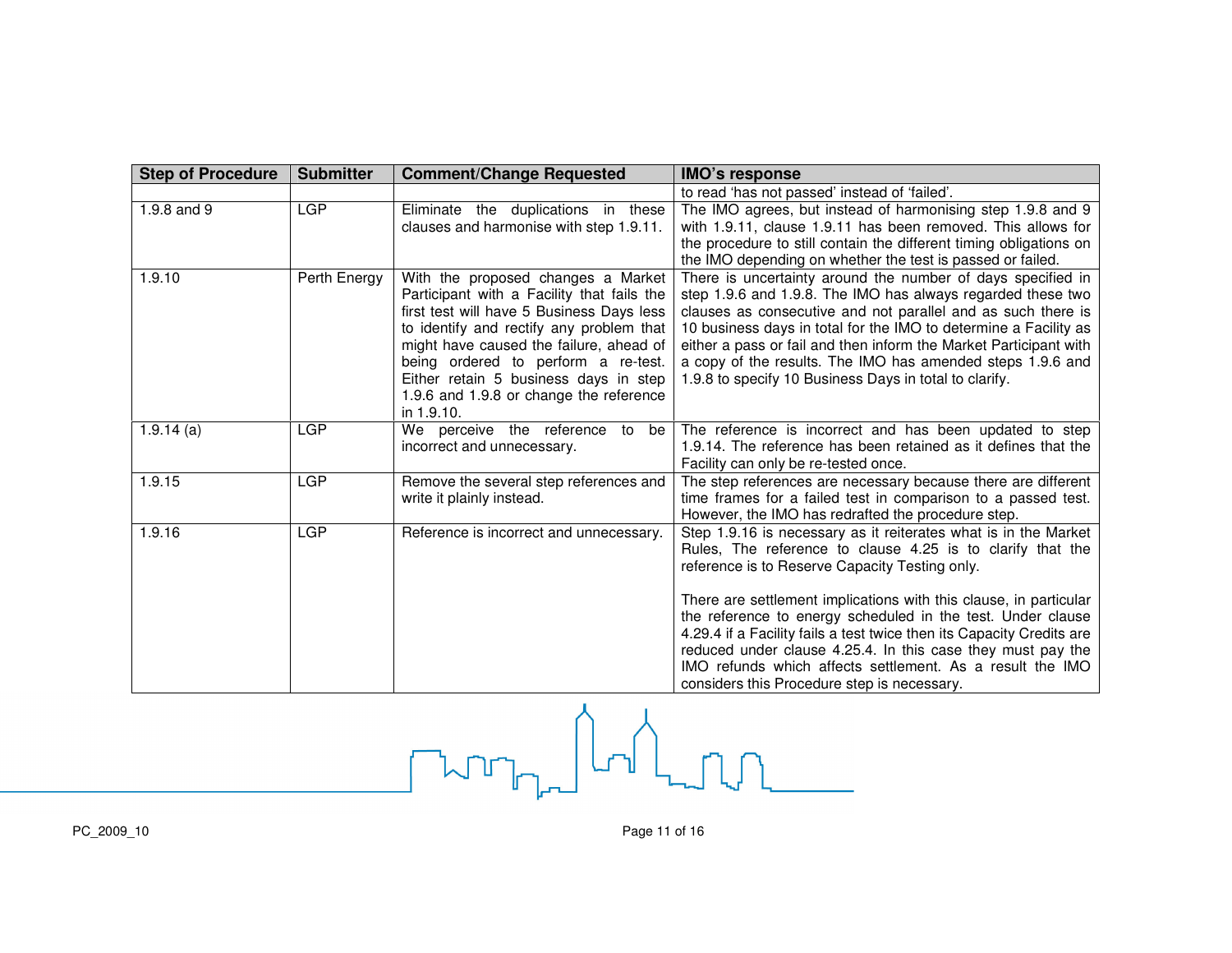| <b>Step of Procedure</b> | <b>Submitter</b> | <b>Comment/Change Requested</b>                                                                                                                                                                                                                                                                                                                               | <b>IMO's response</b>                                                                                                                                                                                                                                                                                                                                                                                                                                                                                                                                                   |
|--------------------------|------------------|---------------------------------------------------------------------------------------------------------------------------------------------------------------------------------------------------------------------------------------------------------------------------------------------------------------------------------------------------------------|-------------------------------------------------------------------------------------------------------------------------------------------------------------------------------------------------------------------------------------------------------------------------------------------------------------------------------------------------------------------------------------------------------------------------------------------------------------------------------------------------------------------------------------------------------------------------|
|                          |                  |                                                                                                                                                                                                                                                                                                                                                               | to read 'has not passed' instead of 'failed'.                                                                                                                                                                                                                                                                                                                                                                                                                                                                                                                           |
| 1.9.8 and 9              | <b>LGP</b>       | Eliminate the duplications in these<br>clauses and harmonise with step 1.9.11.                                                                                                                                                                                                                                                                                | The IMO agrees, but instead of harmonising step 1.9.8 and 9<br>with 1.9.11, clause 1.9.11 has been removed. This allows for<br>the procedure to still contain the different timing obligations on<br>the IMO depending on whether the test is passed or failed.                                                                                                                                                                                                                                                                                                         |
| 1.9.10                   | Perth Energy     | With the proposed changes a Market<br>Participant with a Facility that fails the<br>first test will have 5 Business Days less<br>to identify and rectify any problem that<br>might have caused the failure, ahead of<br>being ordered to perform a re-test.<br>Either retain 5 business days in step<br>1.9.6 and 1.9.8 or change the reference<br>in 1.9.10. | There is uncertainty around the number of days specified in<br>step 1.9.6 and 1.9.8. The IMO has always regarded these two<br>clauses as consecutive and not parallel and as such there is<br>10 business days in total for the IMO to determine a Facility as<br>either a pass or fail and then inform the Market Participant with<br>a copy of the results. The IMO has amended steps 1.9.6 and<br>1.9.8 to specify 10 Business Days in total to clarify.                                                                                                             |
| $1.9.14$ (a)             | <b>LGP</b>       | We perceive the reference to be<br>incorrect and unnecessary.                                                                                                                                                                                                                                                                                                 | The reference is incorrect and has been updated to step<br>1.9.14. The reference has been retained as it defines that the<br>Facility can only be re-tested once.                                                                                                                                                                                                                                                                                                                                                                                                       |
| 1.9.15                   | LGP              | Remove the several step references and<br>write it plainly instead.                                                                                                                                                                                                                                                                                           | The step references are necessary because there are different<br>time frames for a failed test in comparison to a passed test.<br>However, the IMO has redrafted the procedure step.                                                                                                                                                                                                                                                                                                                                                                                    |
| 1.9.16                   | <b>LGP</b>       | Reference is incorrect and unnecessary.                                                                                                                                                                                                                                                                                                                       | Step 1.9.16 is necessary as it reiterates what is in the Market<br>Rules, The reference to clause 4.25 is to clarify that the<br>reference is to Reserve Capacity Testing only.<br>There are settlement implications with this clause, in particular<br>the reference to energy scheduled in the test. Under clause<br>4.29.4 if a Facility fails a test twice then its Capacity Credits are<br>reduced under clause 4.25.4. In this case they must pay the<br>IMO refunds which affects settlement. As a result the IMO<br>considers this Procedure step is necessary. |

com<sub>pt</sub> del top is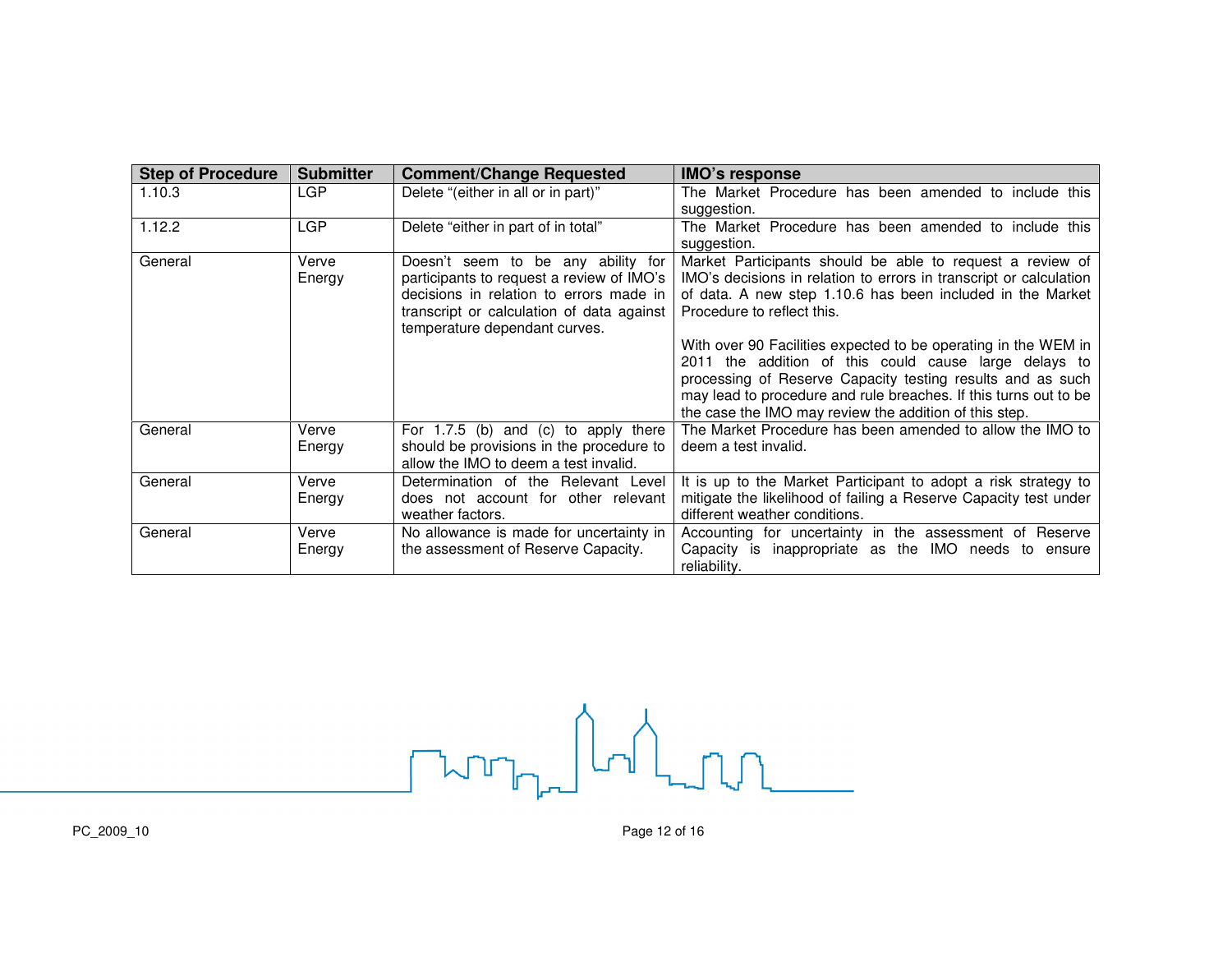| <b>Step of Procedure</b> | <b>Submitter</b> | <b>Comment/Change Requested</b>           | <b>IMO's response</b>                                              |
|--------------------------|------------------|-------------------------------------------|--------------------------------------------------------------------|
| 1.10.3                   | LGP              | Delete "(either in all or in part)"       | The Market Procedure has been amended to include this              |
|                          |                  |                                           | suggestion.                                                        |
| 1.12.2                   | <b>LGP</b>       | Delete "either in part of in total"       | The Market Procedure has been amended to include this              |
|                          |                  |                                           | suggestion.                                                        |
| General                  | Verve            | Doesn't seem to be any ability for        | Market Participants should be able to request a review of          |
|                          | Energy           | participants to request a review of IMO's | IMO's decisions in relation to errors in transcript or calculation |
|                          |                  | decisions in relation to errors made in   | of data. A new step 1.10.6 has been included in the Market         |
|                          |                  | transcript or calculation of data against | Procedure to reflect this.                                         |
|                          |                  | temperature dependant curves.             |                                                                    |
|                          |                  |                                           | With over 90 Facilities expected to be operating in the WEM in     |
|                          |                  |                                           | 2011 the addition of this could cause large delays to              |
|                          |                  |                                           | processing of Reserve Capacity testing results and as such         |
|                          |                  |                                           | may lead to procedure and rule breaches. If this turns out to be   |
|                          |                  |                                           | the case the IMO may review the addition of this step.             |
| General                  | Verve            | For $1.7.5$ (b) and (c) to apply there    | The Market Procedure has been amended to allow the IMO to          |
|                          | Energy           | should be provisions in the procedure to  | deem a test invalid.                                               |
|                          |                  | allow the IMO to deem a test invalid.     |                                                                    |
| General                  | Verve            | Determination of the Relevant Level       | It is up to the Market Participant to adopt a risk strategy to     |
|                          | Energy           | does not account for other relevant       | mitigate the likelihood of failing a Reserve Capacity test under   |
|                          |                  | weather factors.                          | different weather conditions.                                      |
| General                  | Verve            | No allowance is made for uncertainty in   | Accounting for uncertainty in the assessment of Reserve            |
|                          | Energy           | the assessment of Reserve Capacity.       | Capacity is inappropriate as the IMO needs to ensure               |
|                          |                  |                                           | reliability.                                                       |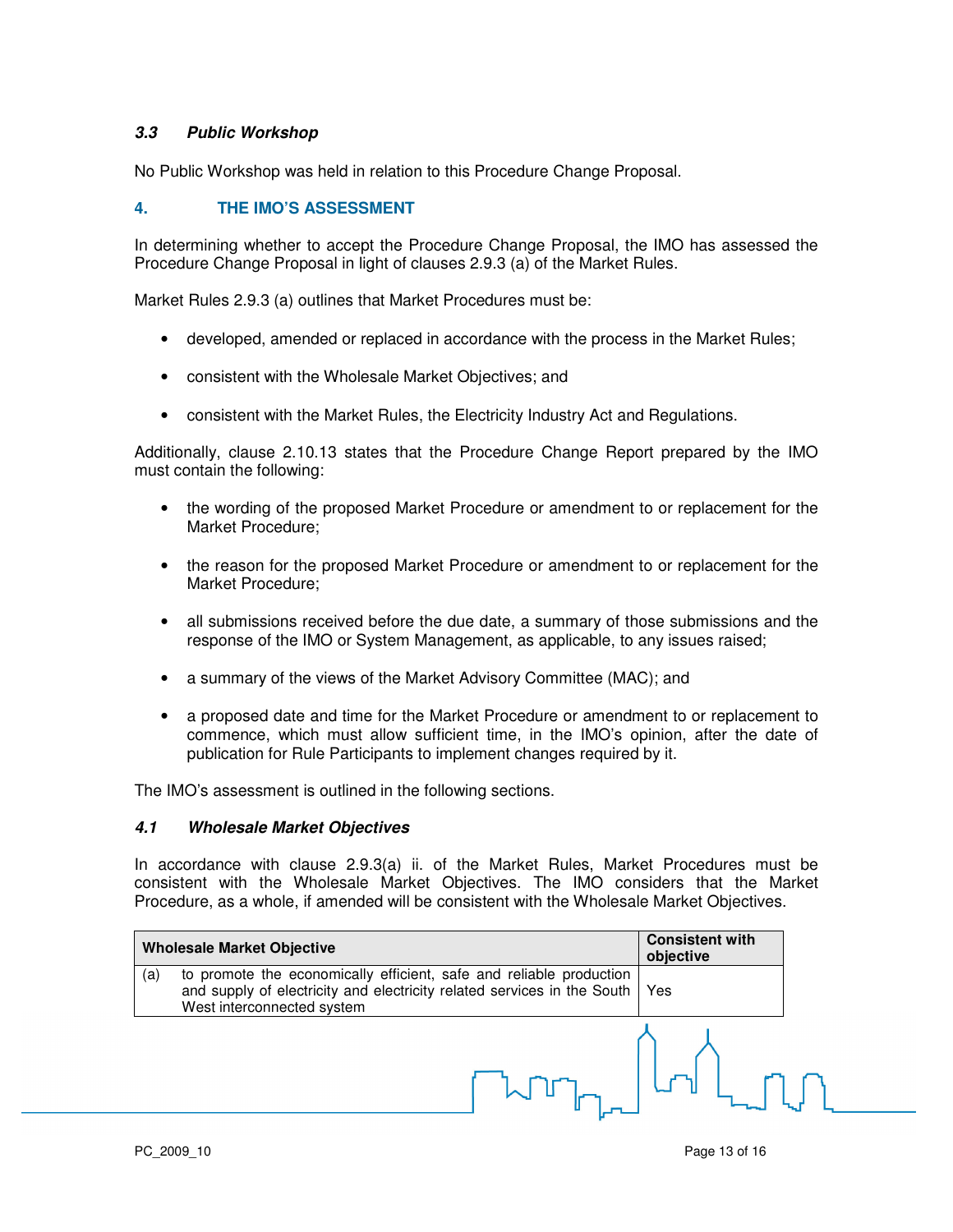# **3.3 Public Workshop**

No Public Workshop was held in relation to this Procedure Change Proposal.

# **4. THE IMO'S ASSESSMENT**

In determining whether to accept the Procedure Change Proposal, the IMO has assessed the Procedure Change Proposal in light of clauses 2.9.3 (a) of the Market Rules.

Market Rules 2.9.3 (a) outlines that Market Procedures must be:

- developed, amended or replaced in accordance with the process in the Market Rules;
- consistent with the Wholesale Market Objectives; and
- consistent with the Market Rules, the Electricity Industry Act and Regulations.

Additionally, clause 2.10.13 states that the Procedure Change Report prepared by the IMO must contain the following:

- the wording of the proposed Market Procedure or amendment to or replacement for the Market Procedure;
- the reason for the proposed Market Procedure or amendment to or replacement for the Market Procedure;
- all submissions received before the due date, a summary of those submissions and the response of the IMO or System Management, as applicable, to any issues raised;
- a summary of the views of the Market Advisory Committee (MAC); and
- a proposed date and time for the Market Procedure or amendment to or replacement to commence, which must allow sufficient time, in the IMO's opinion, after the date of publication for Rule Participants to implement changes required by it.

The IMO's assessment is outlined in the following sections.

#### **4.1 Wholesale Market Objectives**

In accordance with clause 2.9.3(a) ii. of the Market Rules, Market Procedures must be consistent with the Wholesale Market Objectives. The IMO considers that the Market Procedure, as a whole, if amended will be consistent with the Wholesale Market Objectives.

|     | <b>Wholesale Market Objective</b>                                                                                                                                            | <b>Consistent with</b><br>objective |  |
|-----|------------------------------------------------------------------------------------------------------------------------------------------------------------------------------|-------------------------------------|--|
| (a) | to promote the economically efficient, safe and reliable production<br>and supply of electricity and electricity related services in the South<br>West interconnected system | Yes                                 |  |
|     |                                                                                                                                                                              |                                     |  |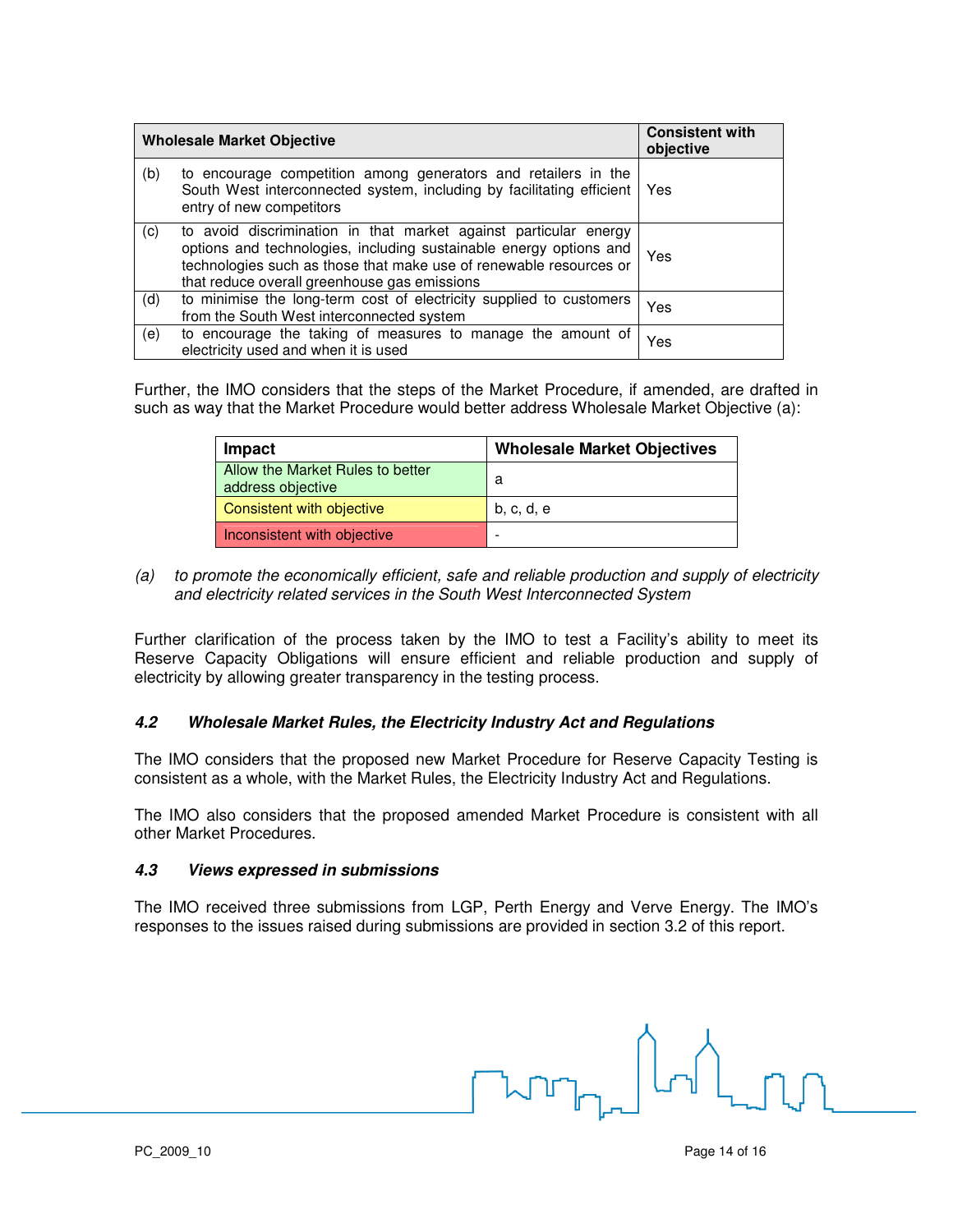|     | <b>Wholesale Market Objective</b>                                                                                                                                                                                                                            | <b>Consistent with</b><br>objective |
|-----|--------------------------------------------------------------------------------------------------------------------------------------------------------------------------------------------------------------------------------------------------------------|-------------------------------------|
| (b) | to encourage competition among generators and retailers in the<br>South West interconnected system, including by facilitating efficient<br>entry of new competitors                                                                                          | Yes                                 |
| (c) | to avoid discrimination in that market against particular energy<br>options and technologies, including sustainable energy options and<br>technologies such as those that make use of renewable resources or<br>that reduce overall greenhouse gas emissions | Yes                                 |
| (d) | to minimise the long-term cost of electricity supplied to customers<br>from the South West interconnected system                                                                                                                                             | Yes                                 |
| (e) | to encourage the taking of measures to manage the amount of<br>electricity used and when it is used                                                                                                                                                          | Yes                                 |

Further, the IMO considers that the steps of the Market Procedure, if amended, are drafted in such as way that the Market Procedure would better address Wholesale Market Objective (a):

| Impact                                                | <b>Wholesale Market Objectives</b> |
|-------------------------------------------------------|------------------------------------|
| Allow the Market Rules to better<br>address objective | а                                  |
| Consistent with objective                             | b, c, d, e                         |
| Inconsistent with objective                           |                                    |

(a) to promote the economically efficient, safe and reliable production and supply of electricity and electricity related services in the South West Interconnected System

Further clarification of the process taken by the IMO to test a Facility's ability to meet its Reserve Capacity Obligations will ensure efficient and reliable production and supply of electricity by allowing greater transparency in the testing process.

## **4.2 Wholesale Market Rules, the Electricity Industry Act and Regulations**

The IMO considers that the proposed new Market Procedure for Reserve Capacity Testing is consistent as a whole, with the Market Rules, the Electricity Industry Act and Regulations.

The IMO also considers that the proposed amended Market Procedure is consistent with all other Market Procedures.

#### **4.3 Views expressed in submissions**

The IMO received three submissions from LGP, Perth Energy and Verve Energy. The IMO's responses to the issues raised during submissions are provided in section 3.2 of this report.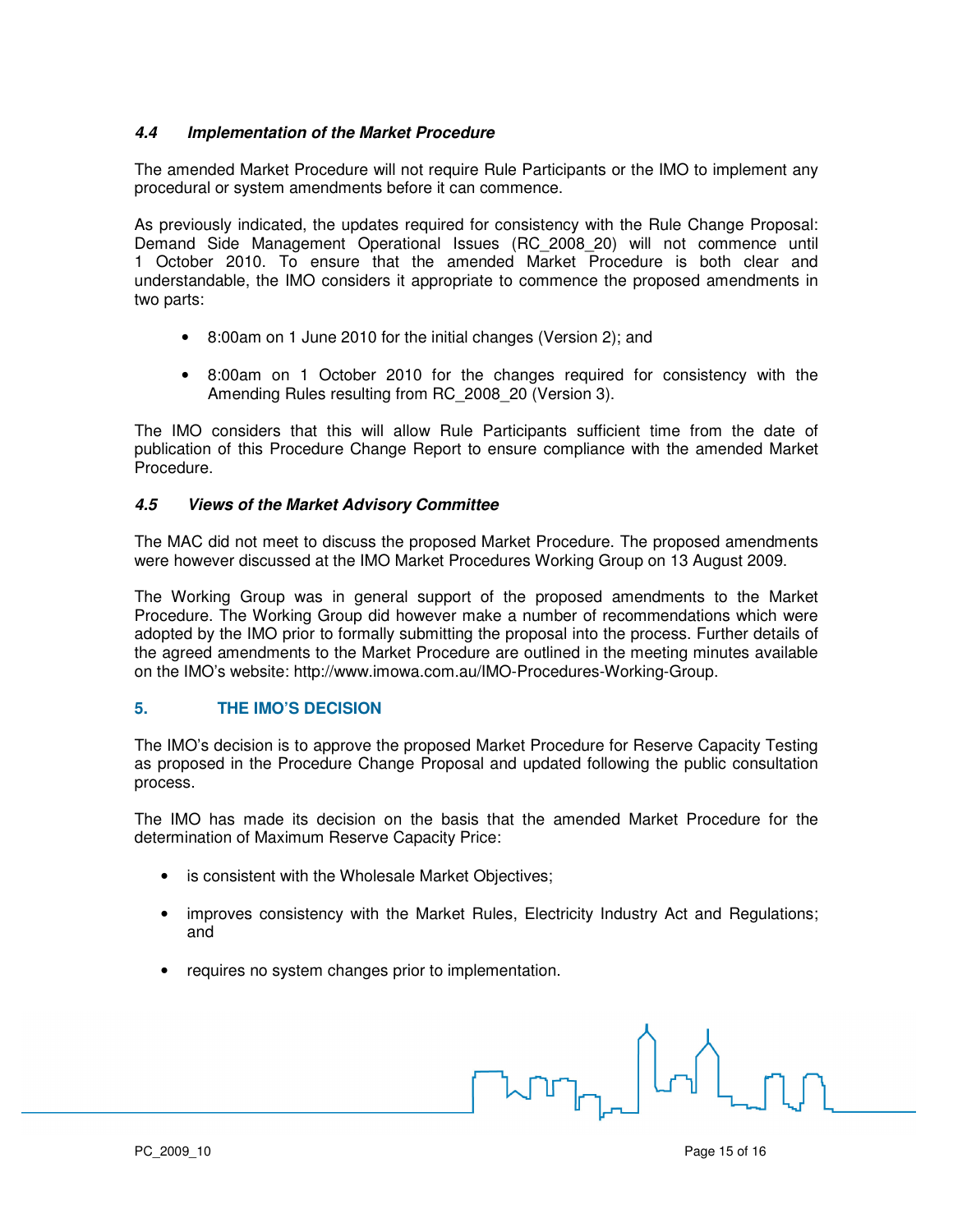# **4.4 Implementation of the Market Procedure**

The amended Market Procedure will not require Rule Participants or the IMO to implement any procedural or system amendments before it can commence.

As previously indicated, the updates required for consistency with the Rule Change Proposal: Demand Side Management Operational Issues (RC\_2008\_20) will not commence until 1 October 2010. To ensure that the amended Market Procedure is both clear and understandable, the IMO considers it appropriate to commence the proposed amendments in two parts:

- 8:00am on 1 June 2010 for the initial changes (Version 2); and
- 8:00am on 1 October 2010 for the changes required for consistency with the Amending Rules resulting from RC\_2008\_20 (Version 3).

The IMO considers that this will allow Rule Participants sufficient time from the date of publication of this Procedure Change Report to ensure compliance with the amended Market Procedure.

## **4.5 Views of the Market Advisory Committee**

The MAC did not meet to discuss the proposed Market Procedure. The proposed amendments were however discussed at the IMO Market Procedures Working Group on 13 August 2009.

The Working Group was in general support of the proposed amendments to the Market Procedure. The Working Group did however make a number of recommendations which were adopted by the IMO prior to formally submitting the proposal into the process. Further details of the agreed amendments to the Market Procedure are outlined in the meeting minutes available on the IMO's website: http://www.imowa.com.au/IMO-Procedures-Working-Group.

## **5. THE IMO'S DECISION**

The IMO's decision is to approve the proposed Market Procedure for Reserve Capacity Testing as proposed in the Procedure Change Proposal and updated following the public consultation process.

The IMO has made its decision on the basis that the amended Market Procedure for the determination of Maximum Reserve Capacity Price:

- is consistent with the Wholesale Market Objectives;
- improves consistency with the Market Rules, Electricity Industry Act and Regulations; and
- requires no system changes prior to implementation.